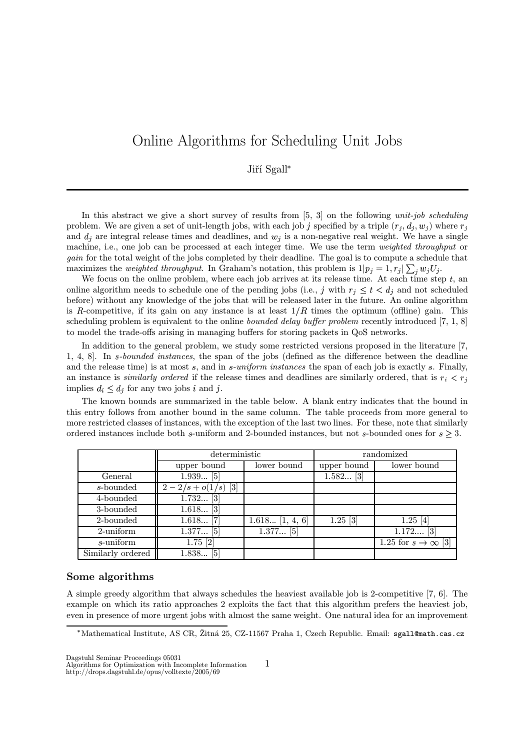# Online Algorithms for Scheduling Unit Jobs

## Jiří Sgall

In this abstract we give a short survey of results from  $[5, 3]$  on the following *unit-job scheduling* problem. We are given a set of unit-length jobs, with each job j specified by a triple  $(r_j, d_j, w_j)$  where  $r_j$ and  $d_j$  are integral release times and deadlines, and  $w_j$  is a non-negative real weight. We have a single machine, i.e., one job can be processed at each integer time. We use the term *weighted throughput* or gain for the total weight of the jobs completed by their deadline. The goal is to compute a schedule that maximizes the *weighted throughput*. In Graham's notation, this problem is  $1|p_j = 1, r_j| \sum_i w_j U_j$ .

We focus on the online problem, where each job arrives at its release time. At each time step  $t$ , an online algorithm needs to schedule one of the pending jobs (i.e., j with  $r_j \leq t < d_j$  and not scheduled before) without any knowledge of the jobs that will be released later in the future. An online algorithm is R-competitive, if its gain on any instance is at least  $1/R$  times the optimum (offline) gain. This scheduling problem is equivalent to the online *bounded delay buffer problem* recently introduced [7, 1, 8] to model the trade-offs arising in managing buffers for storing packets in QoS networks.

In addition to the general problem, we study some restricted versions proposed in the literature [7, 1, 4, 8]. In -bounded instances, the span of the jobs (defined as the difference between the deadline and the release time) is at most  $s$ , and in  $s$ -uniform instances the span of each job is exactly  $s$ . Finally, an instance is *similarly ordered* if the release times and deadlines are similarly ordered, that is  $r_i < r_j$ implies  $d_i \leq d_j$  for any two jobs i and j.

The known bounds are summarized in the table below. A blank entry indicates that the bound in this entry follows from another bound in the same column. The table proceeds from more general to more restricted classes of instances, with the exception of the last two lines. For these, note that similarly ordered instances include both s-uniform and 2-bounded instances, but not s-bounded ones for  $s \geq 3$ .

|                   | deterministic                                                         |                              | randomized  |                             |
|-------------------|-----------------------------------------------------------------------|------------------------------|-------------|-----------------------------|
|                   | upper bound                                                           | lower bound                  | upper bound | lower bound                 |
| General           | $1.939$ [5]                                                           |                              | $1.582$ [3] |                             |
| s-bounded         | $\left\lceil 3 \right\rceil$<br>$2/s + o(1)$<br>$\left($ / $S\right)$ |                              |             |                             |
| 4-bounded         | 1.732<br>$\lceil 3 \rceil$                                            |                              |             |                             |
| 3-bounded         | $\left\lceil 3 \right\rceil$<br>1.618                                 |                              |             |                             |
| 2-bounded         | 1.618                                                                 | $\overline{1.618}$ [1, 4, 6] | $1.25$ [3]  | $1.25$ [4]                  |
| $2$ -uniform      | $1.377$ [5]                                                           | $1.377$ [5]                  |             | $1.172$ [3]                 |
| $s$ -uniform      | $1.75$ [2]                                                            |                              |             | 1.25 for $s \to \infty$ [3] |
| Similarly ordered | $1.838$ [5]                                                           |                              |             |                             |

#### Some algorithms

A simple greedy algorithm that always schedules the heaviest available job is 2-competitive [7, 6]. The example on which its ratio approaches 2 exploits the fact that this algorithm prefers the heaviest job, even in presence of more urgent jobs with almost the same weight. One natural idea for an improvement

Dagstuhl Seminar Proceedings 05031

<sup>.</sup> Mathematical Institute, AS CR, Žitná 25, CZ-11567 Praha 1, Czech Republic. Email: sgall@math.cas.cz

<sup>1</sup> Algorithms for Optimization with Incomplete Information

http://drops.dagstuhl.de/opus/volltexte/2005/69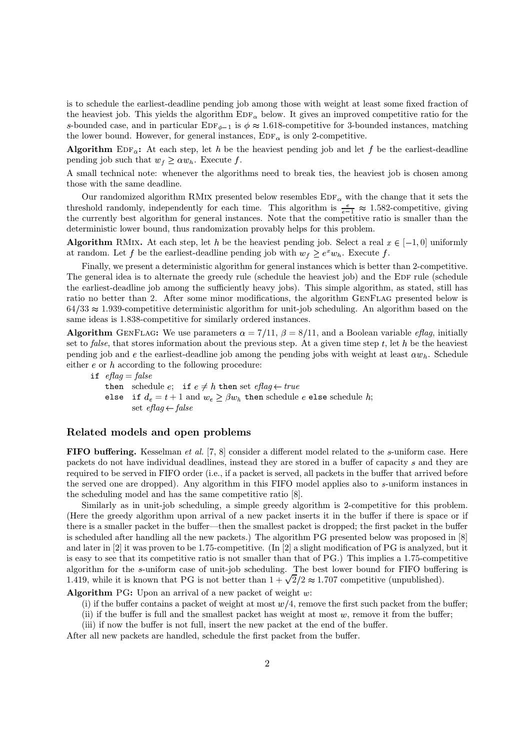is to schedule the earliest-deadline pending job among those with weight at least some fixed fraction of the heaviest job. This yields the algorithm  $EDF_{\alpha}$  below. It gives an improved competitive ratio for the s-bounded case, and in particular  $EDF_{\phi-1}$  is  $\phi \approx 1.618$ -competitive for 3-bounded instances, matching the lower bound. However, for general instances,  $EDF_{\alpha}$  is only 2-competitive.

Algorithm  $EDF_{\alpha}$ : At each step, let h be the heaviest pending job and let f be the earliest-deadline pending job such that  $w_f \geq \alpha w_h$ . Execute f.

A small technical note: whenever the algorithms need to break ties, the heaviest job is chosen among those with the same deadline.

Our randomized algorithm RMIX presented below resembles  $EDF_{\alpha}$  with the change that it sets the threshold randomly, independently for each time. This algorithm is  $\frac{e}{e-1} \approx 1.582$ -competitive, giving the currently best algorithm for general instances. Note that the competitive ratio is smaller than the deterministic lower bound, thus randomization provably helps for this problem.

**Algorithm** RMIX. At each step, let h be the heaviest pending job. Select a real  $x \in [-1, 0]$  uniformly at random. Let f be the earliest-deadline pending job with  $w_f \geq e^x w_h$ . Execute f.

Finally, we present a deterministic algorithm for general instances which is better than 2-competitive. The general idea is to alternate the greedy rule (schedule the heaviest job) and the EDF rule (schedule the earliest-deadline job among the sufficiently heavy jobs). This simple algorithm, as stated, still has ratio no better than 2. After some minor modifications, the algorithm GenFlag presented below is  $64/33 \approx 1.939$ -competitive deterministic algorithm for unit-job scheduling. An algorithm based on the same ideas is  $1.838$ -competitive for similarly ordered instances.

**Algorithm** GENFLAG: We use parameters  $\alpha = 7/11$ ,  $\beta = 8/11$ , and a Boolean variable *eflag*, initially set to *false*, that stores information about the previous step. At a given time step  $t$ , let  $h$  be the heaviest pending job and  $e$  the earliest-deadline job among the pending jobs with weight at least  $\alpha w_h$ . Schedule either  $e$  or  $h$  according to the following procedure:

if  $eflag = false$ then schedule  $e$ ; if  $e \neq h$  then set  $eflag \leftarrow true$ else if  $d_e = t + 1$  and  $w_e \ge \beta w_h$  then schedule  $e$  else schedule  $h$ ; set  $eflag \leftarrow false$ 

### Related models and open problems

FIFO buffering. Kesselman et al. [7, 8] consider a different model related to the  $s$ -uniform case. Here packets do not have individual deadlines, instead they are stored in a buffer of capacity  $s$  and they are required to be served in FIFO order (i.e., if a packet is served, all packets in the buffer that arrived before the served one are dropped). Any algorithm in this FIFO model applies also to s-uniform instances in the scheduling model and has the same competitive ratio [8].

Similarly as in unit-job scheduling, a simple greedy algorithm is 2-competitive for this problem. (Here the greedy algorithm upon arrival of a new packet inserts it in the buffer if there is space or if there is a smaller packet in the buffer—then the smallest packet is dropped; the first packet in the buffer is scheduled after handling all the new packets.) The algorithm PG presented below was proposed in [8] and later in  $[2]$  it was proven to be 1.75-competitive. (In  $[2]$  a slight modification of PG is analyzed, but it is easy to see that its competitive ratio is not smaller than that of PG.) This implies a 1.75-competitive algorithm for the s-uniform case of unit-job scheduling. The best lower bound for FIFO buffering is 1.419, while it is known that PG is not better than  $1 + \sqrt{2}/2 \approx 1.707$  competitive (unpublished).

Algorithm PG: Upon an arrival of a new packet of weight  $w$ :

(i) if the buffer contains a packet of weight at most  $w/4$ , remove the first such packet from the buffer;

(ii) if the buffer is full and the smallest packet has weight at most  $w$ , remove it from the buffer;

(iii) if now the buffer is not full, insert the new packet at the end of the buffer.

After all new packets are handled, schedule the first packet from the buffer.